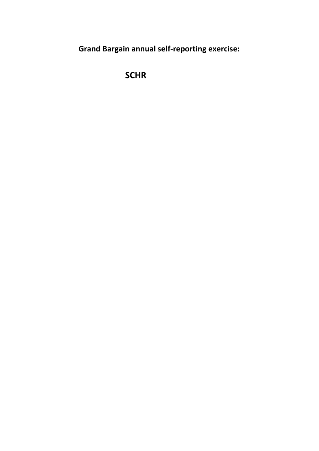**Grand Bargain annual self-reporting exercise:** 

 **SCHR**